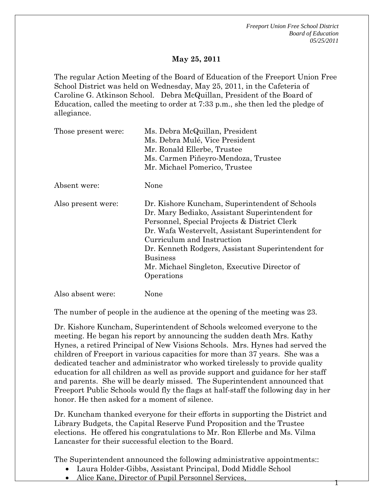1

#### **May 25, 2011**

The regular Action Meeting of the Board of Education of the Freeport Union Free School District was held on Wednesday, May 25, 2011, in the Cafeteria of Caroline G. Atkinson School. Debra McQuillan, President of the Board of Education, called the meeting to order at 7:33 p.m., she then led the pledge of allegiance.

| Those present were: | Ms. Debra McQuillan, President                                                                                                                                                                                                                                                                                                                                            |
|---------------------|---------------------------------------------------------------------------------------------------------------------------------------------------------------------------------------------------------------------------------------------------------------------------------------------------------------------------------------------------------------------------|
|                     | Ms. Debra Mulé, Vice President                                                                                                                                                                                                                                                                                                                                            |
|                     | Mr. Ronald Ellerbe, Trustee                                                                                                                                                                                                                                                                                                                                               |
|                     | Ms. Carmen Piñeyro-Mendoza, Trustee                                                                                                                                                                                                                                                                                                                                       |
|                     | Mr. Michael Pomerico, Trustee                                                                                                                                                                                                                                                                                                                                             |
| Absent were:        | None                                                                                                                                                                                                                                                                                                                                                                      |
| Also present were:  | Dr. Kishore Kuncham, Superintendent of Schools<br>Dr. Mary Bediako, Assistant Superintendent for<br>Personnel, Special Projects & District Clerk<br>Dr. Wafa Westervelt, Assistant Superintendent for<br>Curriculum and Instruction<br>Dr. Kenneth Rodgers, Assistant Superintendent for<br><b>Business</b><br>Mr. Michael Singleton, Executive Director of<br>Operations |

Also absent were: None

The number of people in the audience at the opening of the meeting was 23.

Dr. Kishore Kuncham, Superintendent of Schools welcomed everyone to the meeting. He began his report by announcing the sudden death Mrs. Kathy Hynes, a retired Principal of New Visions Schools. Mrs. Hynes had served the children of Freeport in various capacities for more than 37 years. She was a dedicated teacher and administrator who worked tirelessly to provide quality education for all children as well as provide support and guidance for her staff and parents. She will be dearly missed. The Superintendent announced that Freeport Public Schools would fly the flags at half-staff the following day in her honor. He then asked for a moment of silence.

Dr. Kuncham thanked everyone for their efforts in supporting the District and Library Budgets, the Capital Reserve Fund Proposition and the Trustee elections. He offered his congratulations to Mr. Ron Ellerbe and Ms. Vilma Lancaster for their successful election to the Board.

The Superintendent announced the following administrative appointments::

- Laura Holder-Gibbs, Assistant Principal, Dodd Middle School
- Alice Kane, Director of Pupil Personnel Services,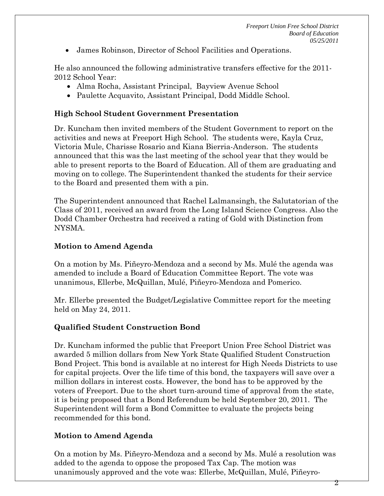James Robinson, Director of School Facilities and Operations.

He also announced the following administrative transfers effective for the 2011- 2012 School Year:

- Alma Rocha, Assistant Principal, Bayview Avenue School
- Paulette Acquavito, Assistant Principal, Dodd Middle School.

#### **High School Student Government Presentation**

Dr. Kuncham then invited members of the Student Government to report on the activities and news at Freeport High School. The students were, Kayla Cruz, Victoria Mule, Charisse Rosario and Kiana Bierria-Anderson. The students announced that this was the last meeting of the school year that they would be able to present reports to the Board of Education. All of them are graduating and moving on to college. The Superintendent thanked the students for their service to the Board and presented them with a pin.

The Superintendent announced that Rachel Lalmansingh, the Salutatorian of the Class of 2011, received an award from the Long Island Science Congress. Also the Dodd Chamber Orchestra had received a rating of Gold with Distinction from NYSMA.

#### **Motion to Amend Agenda**

On a motion by Ms. Piñeyro-Mendoza and a second by Ms. Mulé the agenda was amended to include a Board of Education Committee Report. The vote was unanimous, Ellerbe, McQuillan, Mulé, Piñeyro-Mendoza and Pomerico.

Mr. Ellerbe presented the Budget/Legislative Committee report for the meeting held on May 24, 2011.

## **Qualified Student Construction Bond**

Dr. Kuncham informed the public that Freeport Union Free School District was awarded 5 million dollars from New York State Qualified Student Construction Bond Project. This bond is available at no interest for High Needs Districts to use for capital projects. Over the life time of this bond, the taxpayers will save over a million dollars in interest costs. However, the bond has to be approved by the voters of Freeport. Due to the short turn-around time of approval from the state, it is being proposed that a Bond Referendum be held September 20, 2011. The Superintendent will form a Bond Committee to evaluate the projects being recommended for this bond.

## **Motion to Amend Agenda**

On a motion by Ms. Piñeyro-Mendoza and a second by Ms. Mulé a resolution was added to the agenda to oppose the proposed Tax Cap. The motion was unanimously approved and the vote was: Ellerbe, McQuillan, Mulé, Piñeyro-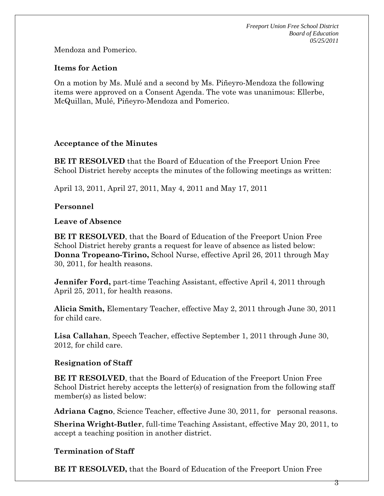Mendoza and Pomerico.

#### **Items for Action**

On a motion by Ms. Mulé and a second by Ms. Piñeyro-Mendoza the following items were approved on a Consent Agenda. The vote was unanimous: Ellerbe, McQuillan, Mulé, Piñeyro-Mendoza and Pomerico.

#### **Acceptance of the Minutes**

**BE IT RESOLVED** that the Board of Education of the Freeport Union Free School District hereby accepts the minutes of the following meetings as written:

April 13, 2011, April 27, 2011, May 4, 2011 and May 17, 2011

## **Personnel**

#### **Leave of Absence**

**BE IT RESOLVED**, that the Board of Education of the Freeport Union Free School District hereby grants a request for leave of absence as listed below: **Donna Tropeano-Tirino,** School Nurse, effective April 26, 2011 through May 30, 2011, for health reasons.

**Jennifer Ford,** part-time Teaching Assistant, effective April 4, 2011 through April 25, 2011, for health reasons.

**Alicia Smith,** Elementary Teacher, effective May 2, 2011 through June 30, 2011 for child care.

**Lisa Callahan**, Speech Teacher, effective September 1, 2011 through June 30, 2012, for child care.

## **Resignation of Staff**

**BE IT RESOLVED**, that the Board of Education of the Freeport Union Free School District hereby accepts the letter(s) of resignation from the following staff member(s) as listed below:

**Adriana Cagno**, Science Teacher, effective June 30, 2011, for personal reasons.

**Sherina Wright-Butler**, full-time Teaching Assistant, effective May 20, 2011, to accept a teaching position in another district.

## **Termination of Staff**

**BE IT RESOLVED,** that the Board of Education of the Freeport Union Free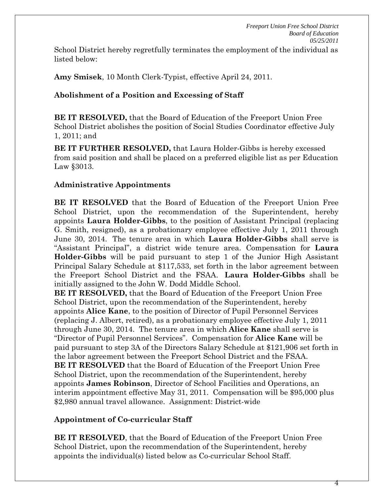School District hereby regretfully terminates the employment of the individual as listed below:

**Amy Smisek**, 10 Month Clerk-Typist, effective April 24, 2011.

# **Abolishment of a Position and Excessing of Staff**

**BE IT RESOLVED,** that the Board of Education of the Freeport Union Free School District abolishes the position of Social Studies Coordinator effective July 1, 2011; and

**BE IT FURTHER RESOLVED,** that Laura Holder-Gibbs is hereby excessed from said position and shall be placed on a preferred eligible list as per Education Law §3013.

# **Administrative Appointments**

**BE IT RESOLVED** that the Board of Education of the Freeport Union Free School District, upon the recommendation of the Superintendent, hereby appoints **Laura Holder-Gibbs**, to the position of Assistant Principal (replacing G. Smith, resigned), as a probationary employee effective July 1, 2011 through June 30, 2014. The tenure area in which **Laura Holder-Gibbs** shall serve is "Assistant Principal", a district wide tenure area. Compensation for **Laura Holder-Gibbs** will be paid pursuant to step 1 of the Junior High Assistant Principal Salary Schedule at \$117,533, set forth in the labor agreement between the Freeport School District and the FSAA. **Laura Holder-Gibbs** shall be initially assigned to the John W. Dodd Middle School.

**BE IT RESOLVED,** that the Board of Education of the Freeport Union Free School District, upon the recommendation of the Superintendent, hereby appoints **Alice Kane**, to the position of Director of Pupil Personnel Services (replacing J. Albert, retired), as a probationary employee effective July 1, 2011 through June 30, 2014. The tenure area in which **Alice Kane** shall serve is "Director of Pupil Personnel Services". Compensation for **Alice Kane** will be paid pursuant to step 3A of the Directors Salary Schedule at \$121,906 set forth in the labor agreement between the Freeport School District and the FSAA. **BE IT RESOLVED** that the Board of Education of the Freeport Union Free School District, upon the recommendation of the Superintendent, hereby appoints **James Robinson**, Director of School Facilities and Operations, an interim appointment effective May 31, 2011. Compensation will be \$95,000 plus \$2,980 annual travel allowance. Assignment: District-wide

# **Appointment of Co-curricular Staff**

**BE IT RESOLVED**, that the Board of Education of the Freeport Union Free School District, upon the recommendation of the Superintendent, hereby appoints the individual(s) listed below as Co-curricular School Staff.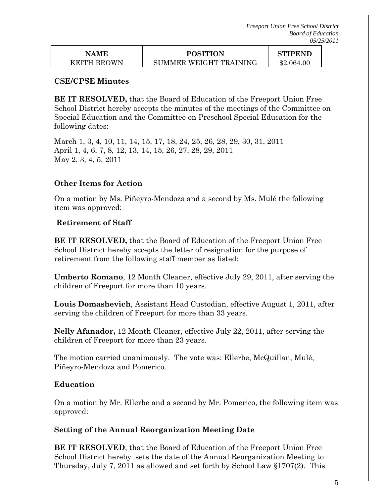| NAME        | <b>POSITION</b>        | STIPEND    |
|-------------|------------------------|------------|
| KEITH BROWN | SUMMER WEIGHT TRAINING | \$2,064.00 |

#### **CSE/CPSE Minutes**

**BE IT RESOLVED,** that the Board of Education of the Freeport Union Free School District hereby accepts the minutes of the meetings of the Committee on Special Education and the Committee on Preschool Special Education for the following dates:

March 1, 3, 4, 10, 11, 14, 15, 17, 18, 24, 25, 26, 28, 29, 30, 31, 2011 April 1, 4, 6, 7, 8, 12, 13, 14, 15, 26, 27, 28, 29, 2011 May 2, 3, 4, 5, 2011

#### **Other Items for Action**

On a motion by Ms. Piñeyro-Mendoza and a second by Ms. Mulé the following item was approved:

#### **Retirement of Staff**

**BE IT RESOLVED,** that the Board of Education of the Freeport Union Free School District hereby accepts the letter of resignation for the purpose of retirement from the following staff member as listed:

**Umberto Romano**, 12 Month Cleaner, effective July 29, 2011, after serving the children of Freeport for more than 10 years.

**Louis Domashevich**, Assistant Head Custodian, effective August 1, 2011, after serving the children of Freeport for more than 33 years.

**Nelly Afanador,** 12 Month Cleaner, effective July 22, 2011, after serving the children of Freeport for more than 23 years.

The motion carried unanimously. The vote was: Ellerbe, McQuillan, Mulé, Piñeyro-Mendoza and Pomerico.

#### **Education**

On a motion by Mr. Ellerbe and a second by Mr. Pomerico, the following item was approved:

#### **Setting of the Annual Reorganization Meeting Date**

**BE IT RESOLVED**, that the Board of Education of the Freeport Union Free School District hereby sets the date of the Annual Reorganization Meeting to Thursday, July 7, 2011 as allowed and set forth by School Law §1707(2). This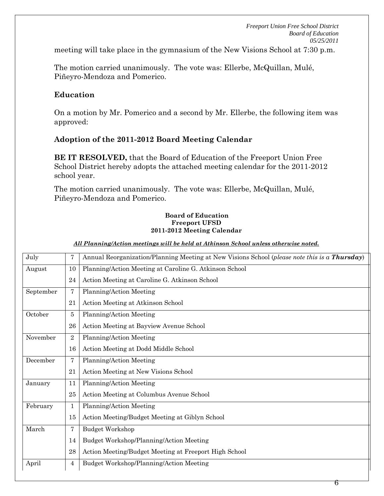meeting will take place in the gymnasium of the New Visions School at 7:30 p.m.

The motion carried unanimously. The vote was: Ellerbe, McQuillan, Mulé, Piñeyro-Mendoza and Pomerico.

#### **Education**

On a motion by Mr. Pomerico and a second by Mr. Ellerbe, the following item was approved:

## **Adoption of the 2011-2012 Board Meeting Calendar**

**BE IT RESOLVED,** that the Board of Education of the Freeport Union Free School District hereby adopts the attached meeting calendar for the 2011-2012 school year.

The motion carried unanimously. The vote was: Ellerbe, McQuillan, Mulé, Piñeyro-Mendoza and Pomerico.

#### **Board of Education Freeport UFSD 2011-2012 Meeting Calendar**

#### *All Planning/Action meetings will be held at Atkinson School unless otherwise noted.*

|                | Annual Reorganization/Planning Meeting at New Visions School (please note this is a <b>Thursday</b> ) |
|----------------|-------------------------------------------------------------------------------------------------------|
| 10             | Planning/Action Meeting at Caroline G. Atkinson School                                                |
| 24             | Action Meeting at Caroline G. Atkinson School                                                         |
| 7              | Planning/Action Meeting                                                                               |
| 21             | Action Meeting at Atkinson School                                                                     |
| 5              | Planning/Action Meeting                                                                               |
| 26             | Action Meeting at Bayview Avenue School                                                               |
| $\overline{2}$ | Planning/Action Meeting                                                                               |
| 16             | Action Meeting at Dodd Middle School                                                                  |
| 7              | Planning/Action Meeting                                                                               |
| 21             | Action Meeting at New Visions School                                                                  |
| 11             | Planning/Action Meeting                                                                               |
| 25             | Action Meeting at Columbus Avenue School                                                              |
| $\mathbf{1}$   | Planning/Action Meeting                                                                               |
| 15             | Action Meeting/Budget Meeting at Giblyn School                                                        |
| 7              | <b>Budget Workshop</b>                                                                                |
| 14             | Budget Workshop/Planning/Action Meeting                                                               |
| 28             | Action Meeting/Budget Meeting at Freeport High School                                                 |
| 4              | Budget Workshop/Planning/Action Meeting                                                               |
|                | 7                                                                                                     |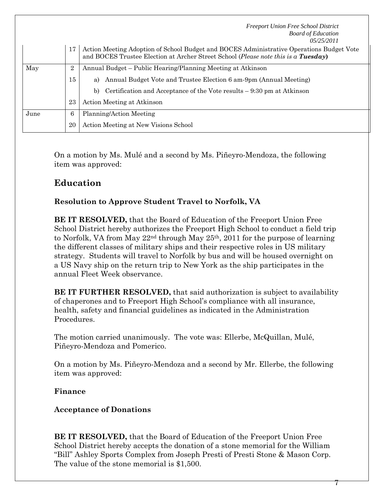|      |                | <b>Freeport Union Free School District</b><br><b>Board of Education</b><br>05/25/2011                                                                                          |
|------|----------------|--------------------------------------------------------------------------------------------------------------------------------------------------------------------------------|
|      | 17             | Action Meeting Adoption of School Budget and BOCES Administrative Operations Budget Vote<br>and BOCES Trustee Election at Archer Street School (Please note this is a Tuesday) |
| May  | $\overline{2}$ | Annual Budget – Public Hearing/Planning Meeting at Atkinson                                                                                                                    |
|      | 15             | Annual Budget Vote and Trustee Election 6 am-9pm (Annual Meeting)<br>a)                                                                                                        |
|      |                | Certification and Acceptance of the Vote results $-9:30$ pm at Atkinson<br>b)                                                                                                  |
|      | 23             | Action Meeting at Atkinson                                                                                                                                                     |
| June | 6              | Planning/Action Meeting                                                                                                                                                        |
|      | 20             | Action Meeting at New Visions School                                                                                                                                           |

On a motion by Ms. Mulé and a second by Ms. Piñeyro-Mendoza, the following item was approved:

# **Education**

# **Resolution to Approve Student Travel to Norfolk, VA**

**BE IT RESOLVED,** that the Board of Education of the Freeport Union Free School District hereby authorizes the Freeport High School to conduct a field trip to Norfolk, VA from May 22nd through May 25th, 2011 for the purpose of learning the different classes of military ships and their respective roles in US military strategy. Students will travel to Norfolk by bus and will be housed overnight on a US Navy ship on the return trip to New York as the ship participates in the annual Fleet Week observance.

**BE IT FURTHER RESOLVED,** that said authorization is subject to availability of chaperones and to Freeport High School's compliance with all insurance, health, safety and financial guidelines as indicated in the Administration Procedures.

The motion carried unanimously. The vote was: Ellerbe, McQuillan, Mulé, Piñeyro-Mendoza and Pomerico.

On a motion by Ms. Piñeyro-Mendoza and a second by Mr. Ellerbe, the following item was approved:

## **Finance**

# **Acceptance of Donations**

**BE IT RESOLVED,** that the Board of Education of the Freeport Union Free School District hereby accepts the donation of a stone memorial for the William "Bill" Ashley Sports Complex from Joseph Presti of Presti Stone & Mason Corp. The value of the stone memorial is \$1,500.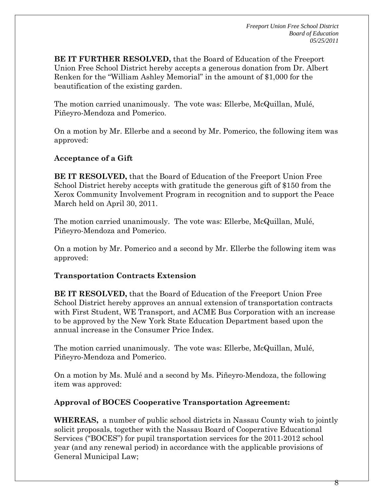**BE IT FURTHER RESOLVED,** that the Board of Education of the Freeport Union Free School District hereby accepts a generous donation from Dr. Albert Renken for the "William Ashley Memorial" in the amount of \$1,000 for the beautification of the existing garden.

The motion carried unanimously. The vote was: Ellerbe, McQuillan, Mulé, Piñeyro-Mendoza and Pomerico.

On a motion by Mr. Ellerbe and a second by Mr. Pomerico, the following item was approved:

## **Acceptance of a Gift**

**BE IT RESOLVED,** that the Board of Education of the Freeport Union Free School District hereby accepts with gratitude the generous gift of \$150 from the Xerox Community Involvement Program in recognition and to support the Peace March held on April 30, 2011.

The motion carried unanimously. The vote was: Ellerbe, McQuillan, Mulé, Piñeyro-Mendoza and Pomerico.

On a motion by Mr. Pomerico and a second by Mr. Ellerbe the following item was approved:

## **Transportation Contracts Extension**

**BE IT RESOLVED,** that the Board of Education of the Freeport Union Free School District hereby approves an annual extension of transportation contracts with First Student, WE Transport, and ACME Bus Corporation with an increase to be approved by the New York State Education Department based upon the annual increase in the Consumer Price Index.

The motion carried unanimously. The vote was: Ellerbe, McQuillan, Mulé, Piñeyro-Mendoza and Pomerico.

On a motion by Ms. Mulé and a second by Ms. Piñeyro-Mendoza, the following item was approved:

## **Approval of BOCES Cooperative Transportation Agreement:**

**WHEREAS,** a number of public school districts in Nassau County wish to jointly solicit proposals, together with the Nassau Board of Cooperative Educational Services ("BOCES") for pupil transportation services for the 2011-2012 school year (and any renewal period) in accordance with the applicable provisions of General Municipal Law;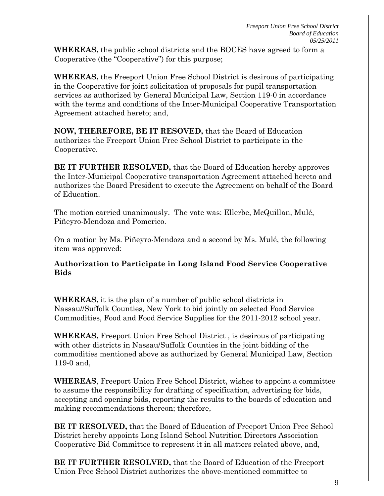**WHEREAS,** the public school districts and the BOCES have agreed to form a Cooperative (the "Cooperative") for this purpose;

**WHEREAS,** the Freeport Union Free School District is desirous of participating in the Cooperative for joint solicitation of proposals for pupil transportation services as authorized by General Municipal Law, Section 119-0 in accordance with the terms and conditions of the Inter-Municipal Cooperative Transportation Agreement attached hereto; and,

**NOW, THEREFORE, BE IT RESOVED,** that the Board of Education authorizes the Freeport Union Free School District to participate in the Cooperative.

**BE IT FURTHER RESOLVED,** that the Board of Education hereby approves the Inter-Municipal Cooperative transportation Agreement attached hereto and authorizes the Board President to execute the Agreement on behalf of the Board of Education.

The motion carried unanimously. The vote was: Ellerbe, McQuillan, Mulé, Piñeyro-Mendoza and Pomerico.

On a motion by Ms. Piñeyro-Mendoza and a second by Ms. Mulé, the following item was approved:

**Authorization to Participate in Long Island Food Service Cooperative Bids**

**WHEREAS,** it is the plan of a number of public school districts in Nassau//Suffolk Counties, New York to bid jointly on selected Food Service Commodities, Food and Food Service Supplies for the 2011-2012 school year.

**WHEREAS,** Freeport Union Free School District , is desirous of participating with other districts in Nassau/Suffolk Counties in the joint bidding of the commodities mentioned above as authorized by General Municipal Law, Section 119-0 and,

**WHEREAS**, Freeport Union Free School District, wishes to appoint a committee to assume the responsibility for drafting of specification, advertising for bids, accepting and opening bids, reporting the results to the boards of education and making recommendations thereon; therefore,

**BE IT RESOLVED,** that the Board of Education of Freeport Union Free School District hereby appoints Long Island School Nutrition Directors Association Cooperative Bid Committee to represent it in all matters related above, and,

**BE IT FURTHER RESOLVED,** that the Board of Education of the Freeport Union Free School District authorizes the above-mentioned committee to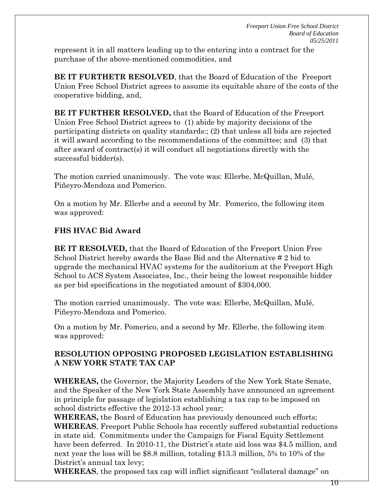represent it in all matters leading up to the entering into a contract for the purchase of the above-mentioned commodities, and

**BE IT FURTHETR RESOLVED**, that the Board of Education of the Freeport Union Free School District agrees to assume its equitable share of the costs of the cooperative bidding, and,

**BE IT FURTHER RESOLVED,** that the Board of Education of the Freeport Union Free School District agrees to (1) abide by majority decisions of the participating districts on quality standards:; (2) that unless all bids are rejected it will award according to the recommendations of the committee; and (3) that after award of contract(s) it will conduct all negotiations directly with the successful bidder(s).

The motion carried unanimously. The vote was: Ellerbe, McQuillan, Mulé, Piñeyro-Mendoza and Pomerico.

On a motion by Mr. Ellerbe and a second by Mr. Pomerico, the following item was approved:

# **FHS HVAC Bid Award**

**BE IT RESOLVED,** that the Board of Education of the Freeport Union Free School District hereby awards the Base Bid and the Alternative # 2 bid to upgrade the mechanical HVAC systems for the auditorium at the Freeport High School to ACS System Associates, Inc., their being the lowest responsible bidder as per bid specifications in the negotiated amount of \$304,000.

The motion carried unanimously. The vote was: Ellerbe, McQuillan, Mulé, Piñeyro-Mendoza and Pomerico.

On a motion by Mr. Pomerico, and a second by Mr. Ellerbe, the following item was approved:

# **RESOLUTION OPPOSING PROPOSED LEGISLATION ESTABLISHING A NEW YORK STATE TAX CAP**

**WHEREAS,** the Governor, the Majority Leaders of the New York State Senate, and the Speaker of the New York State Assembly have announced an agreement in principle for passage of legislation establishing a tax cap to be imposed on school districts effective the 2012-13 school year;

**WHEREAS,** the Board of Education has previously denounced such efforts; **WHEREAS**, Freeport Public Schools has recently suffered substantial reductions in state aid. Commitments under the Campaign for Fiscal Equity Settlement have been deferred. In 2010-11, the District's state aid loss was \$4.5 million, and next year the loss will be \$8.8 million, totaling \$13.3 million, 5% to 10% of the District's annual tax levy;

**WHEREAS**, the proposed tax cap will inflict significant "collateral damage" on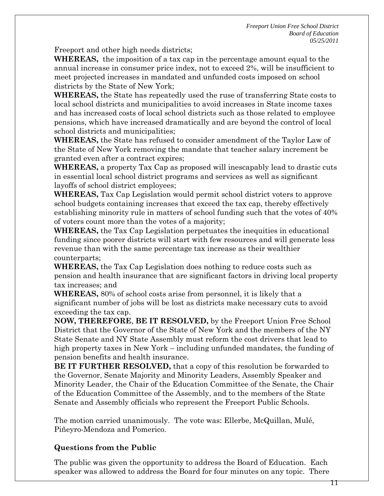Freeport and other high needs districts;

**WHEREAS,** the imposition of a tax cap in the percentage amount equal to the annual increase in consumer price index, not to exceed 2%, will be insufficient to meet projected increases in mandated and unfunded costs imposed on school districts by the State of New York;

**WHEREAS,** the State has repeatedly used the ruse of transferring State costs to local school districts and municipalities to avoid increases in State income taxes and has increased costs of local school districts such as those related to employee pensions, which have increased dramatically and are beyond the control of local school districts and municipalities;

**WHEREAS,** the State has refused to consider amendment of the Taylor Law of the State of New York removing the mandate that teacher salary increment be granted even after a contract expires;

**WHEREAS,** a property Tax Cap as proposed will inescapably lead to drastic cuts in essential local school district programs and services as well as significant layoffs of school district employees;

**WHEREAS,** Tax Cap Legislation would permit school district voters to approve school budgets containing increases that exceed the tax cap, thereby effectively establishing minority rule in matters of school funding such that the votes of 40% of voters count more than the votes of a majority;

**WHEREAS,** the Tax Cap Legislation perpetuates the inequities in educational funding since poorer districts will start with few resources and will generate less revenue than with the same percentage tax increase as their wealthier counterparts;

**WHEREAS,** the Tax Cap Legislation does nothing to reduce costs such as pension and health insurance that are significant factors in driving local property tax increases; and

**WHEREAS,** 80% of school costs arise from personnel, it is likely that a significant number of jobs will be lost as districts make necessary cuts to avoid exceeding the tax cap.

**NOW, THEREFORE**, **BE IT RESOLVED,** by the Freeport Union Free School District that the Governor of the State of New York and the members of the NY State Senate and NY State Assembly must reform the cost drivers that lead to high property taxes in New York – including unfunded mandates, the funding of pension benefits and health insurance.

**BE IT FURTHER RESOLVED,** that a copy of this resolution be forwarded to the Governor, Senate Majority and Minority Leaders, Assembly Speaker and Minority Leader, the Chair of the Education Committee of the Senate, the Chair of the Education Committee of the Assembly, and to the members of the State Senate and Assembly officials who represent the Freeport Public Schools.

The motion carried unanimously. The vote was: Ellerbe, McQuillan, Mulé, Piñeyro-Mendoza and Pomerico.

## **Questions from the Public**

The public was given the opportunity to address the Board of Education. Each speaker was allowed to address the Board for four minutes on any topic. There